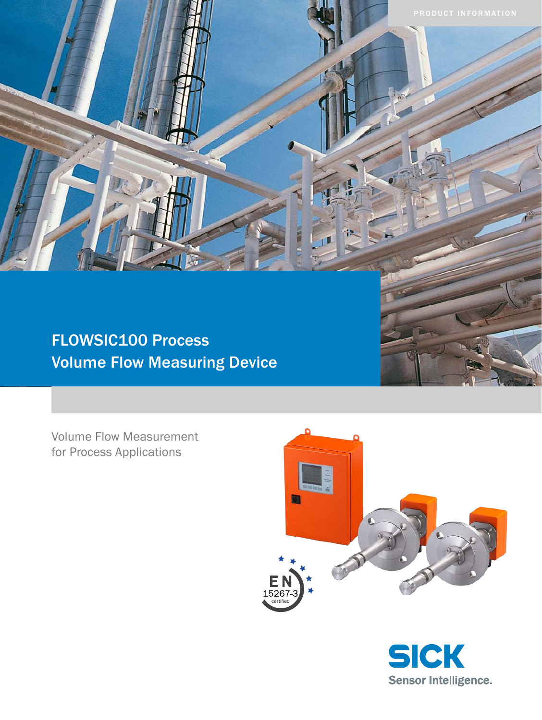FLOWSIC100 Process Volume Flow Measuring Device

Volume Flow Measurement for Process Applications



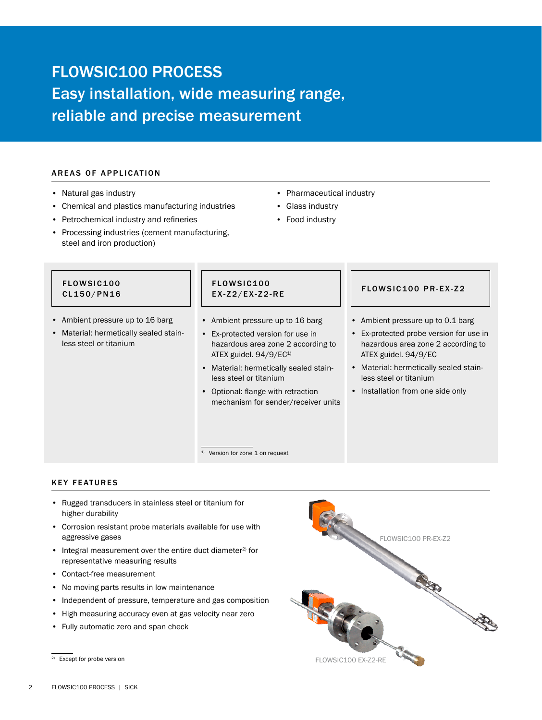# FLOWSIC100 PROCESS Easy installation, wide measuring range, reliable and precise measurement

# AREAS OF APPLICATION

- Natural gas industry
- Chemical and plastics manufacturing industries
- Petrochemical industry and refineries
- Processing industries (cement manufacturing, steel and iron production)
- Pharmaceutical industry
- Glass industry
- Food industry

## FLOWSIC100 CL150/PN16

- Ambient pressure up to 16 barg
- Material: hermetically sealed stainless steel or titanium

# FLOWSIC100 E X - Z 2 / EX - Z 2 - RE FLOWS I C 100 PR - EX - Z 2

<sup>1)</sup> Version for zone 1 on request

- Ambient pressure up to 16 barg
- Ex-protected version for use in hazardous area zone 2 according to ATEX guidel. 94/9/EC<sup>1)</sup>
- Material: hermetically sealed stainless steel or titanium
- Optional: flange with retraction mechanism for sender/receiver units

- Ambient pressure up to 0.1 barg
- Ex-protected probe version for use in hazardous area zone 2 according to ATEX guidel. 94/9/EC
- Material: hermetically sealed stainless steel or titanium
- Installation from one side only

# **KEY FEATURES**

- Rugged transducers in stainless steel or titanium for higher durability
- Corrosion resistant probe materials available for use with aggressive gases
- $\bullet$  Integral measurement over the entire duct diameter<sup>2)</sup> for representative measuring results
- Contact-free measurement
- No moving parts results in low maintenance
- Independent of pressure, temperature and gas composition
- High measuring accuracy even at gas velocity near zero
- Fully automatic zero and span check



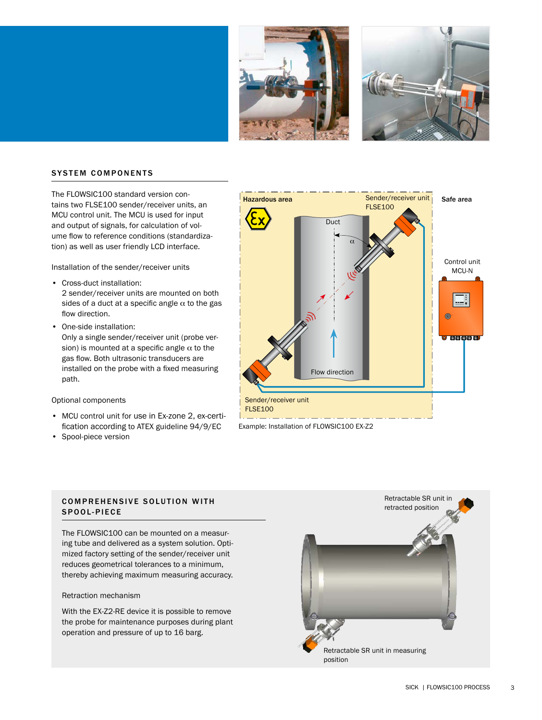



# **SYSTEM COMPONENTS**

The FLOWSIC100 standard version contains two FLSE100 sender/receiver units, an MCU control unit. The MCU is used for input and output of signals, for calculation of volume flow to reference conditions (standardization) as well as user friendly LCD interface.

Installation of the sender/receiver units

- Cross-duct installation: 2 sender/receiver units are mounted on both sides of a duct at a specific angle  $\alpha$  to the gas flow direction.
- One-side installation: Only a single sender/receiver unit (probe version) is mounted at a specific angle  $\alpha$  to the gas flow. Both ultrasonic transducers are installed on the probe with a fixed measuring path.

#### Optional components

- MCU control unit for use in Ex-zone 2, ex-certification according to ATEX guideline 94/9/EC
- Spool-piece version



Example: Installation of FLOWSIC100 EX-Z2

# COMPREHENSIVE SOLUTION WITH SPOOL-PIECE

The FLOWSIC100 can be mounted on a measuring tube and delivered as a system solution. Optimized factory setting of the sender/receiver unit reduces geometrical tolerances to a minimum, thereby achieving maximum measuring accuracy.

### Retraction mechanism

With the EX-Z2-RE device it is possible to remove the probe for maintenance purposes during plant operation and pressure of up to 16 barg.